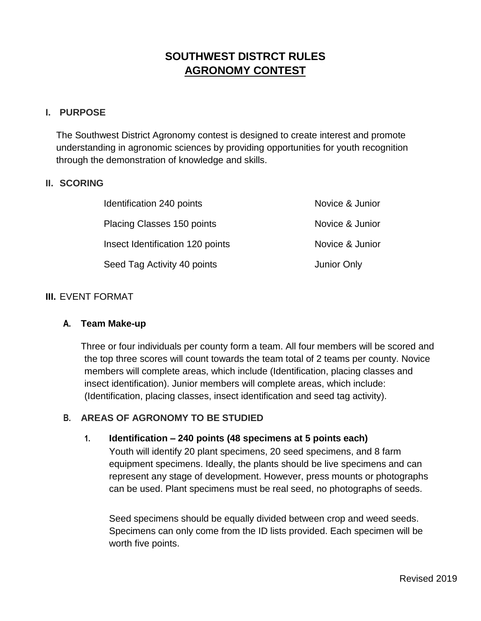# **SOUTHWEST DISTRCT RULES AGRONOMY CONTEST**

#### **I. PURPOSE**

The Southwest District Agronomy contest is designed to create interest and promote understanding in agronomic sciences by providing opportunities for youth recognition through the demonstration of knowledge and skills.

#### **II. SCORING**

| Identification 240 points         | Novice & Junior    |
|-----------------------------------|--------------------|
| <b>Placing Classes 150 points</b> | Novice & Junior    |
| Insect Identification 120 points  | Novice & Junior    |
| Seed Tag Activity 40 points       | <b>Junior Only</b> |

#### **III.** EVENT FORMAT

#### **A. Team Make-up**

Three or four individuals per county form a team. All four members will be scored and the top three scores will count towards the team total of 2 teams per county. Novice members will complete areas, which include (Identification, placing classes and insect identification). Junior members will complete areas, which include: (Identification, placing classes, insect identification and seed tag activity).

### **B. AREAS OF AGRONOMY TO BE STUDIED**

#### **1. Identification – 240 points (48 specimens at 5 points each)**

Youth will identify 20 plant specimens, 20 seed specimens, and 8 farm equipment specimens. Ideally, the plants should be live specimens and can represent any stage of development. However, press mounts or photographs can be used. Plant specimens must be real seed, no photographs of seeds.

Seed specimens should be equally divided between crop and weed seeds. Specimens can only come from the ID lists provided. Each specimen will be worth five points.